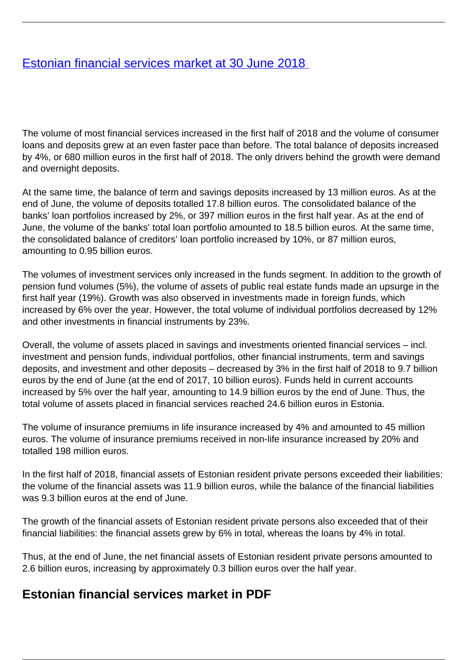## <span id="page-0-0"></span>[Estonian financial services market at 30 June 2018](/en/publications/estonian-financial-services-market-30-june-2018)

The volume of most financial services increased in the first half of 2018 and the volume of consumer loans and deposits grew at an even faster pace than before. The total balance of deposits increased by 4%, or 680 million euros in the first half of 2018. The only drivers behind the growth were demand and overnight deposits.

At the same time, the balance of term and savings deposits increased by 13 million euros. As at the end of June, the volume of deposits totalled 17.8 billion euros. The consolidated balance of the banks' loan portfolios increased by 2%, or 397 million euros in the first half year. As at the end of June, the volume of the banks' total loan portfolio amounted to 18.5 billion euros. At the same time, the consolidated balance of creditors' loan portfolio increased by 10%, or 87 million euros, amounting to 0.95 billion euros.

The volumes of investment services only increased in the funds segment. In addition to the growth of pension fund volumes (5%), the volume of assets of public real estate funds made an upsurge in the first half year (19%). Growth was also observed in investments made in foreign funds, which increased by 6% over the year. However, the total volume of individual portfolios decreased by 12% and other investments in financial instruments by 23%.

Overall, the volume of assets placed in savings and investments oriented financial services – incl. investment and pension funds, individual portfolios, other financial instruments, term and savings deposits, and investment and other deposits – decreased by 3% in the first half of 2018 to 9.7 billion euros by the end of June (at the end of 2017, 10 billion euros). Funds held in current accounts increased by 5% over the half year, amounting to 14.9 billion euros by the end of June. Thus, the total volume of assets placed in financial services reached 24.6 billion euros in Estonia.

The volume of insurance premiums in life insurance increased by 4% and amounted to 45 million euros. The volume of insurance premiums received in non-life insurance increased by 20% and totalled 198 million euros.

In the first half of 2018, financial assets of Estonian resident private persons exceeded their liabilities: the volume of the financial assets was 11.9 billion euros, while the balance of the financial liabilities was 9.3 billion euros at the end of June.

The growth of the financial assets of Estonian resident private persons also exceeded that of their financial liabilities: the financial assets grew by 6% in total, whereas the loans by 4% in total.

Thus, at the end of June, the net financial assets of Estonian resident private persons amounted to 2.6 billion euros, increasing by approximately 0.3 billion euros over the half year.

## **Estonian financial services market in PDF**